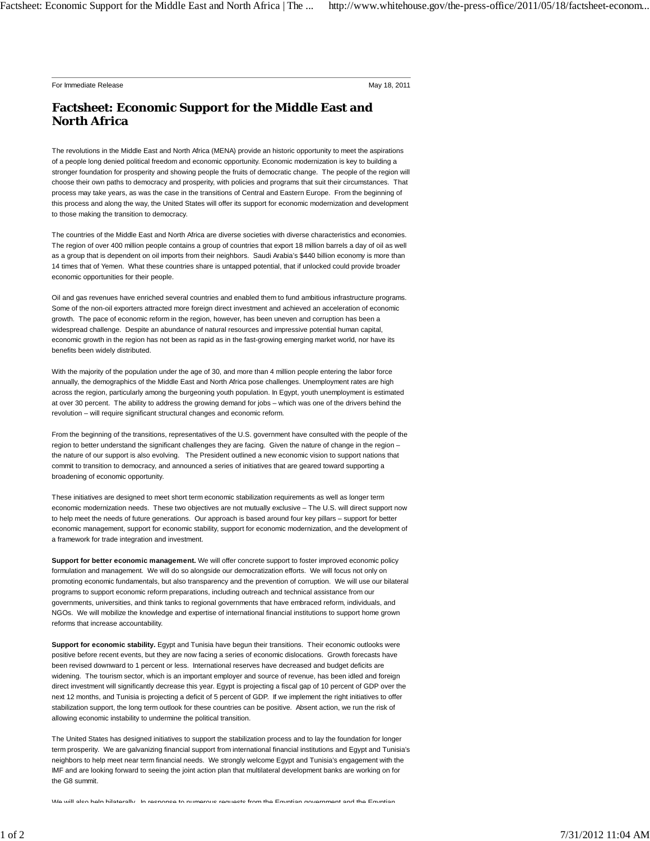For Immediate Release **May 18, 2011** New York 19, 2011

## **Factsheet: Economic Support for the Middle East and North Africa**

The revolutions in the Middle East and North Africa (MENA) provide an historic opportunity to meet the aspirations of a people long denied political freedom and economic opportunity. Economic modernization is key to building a stronger foundation for prosperity and showing people the fruits of democratic change. The people of the region will choose their own paths to democracy and prosperity, with policies and programs that suit their circumstances. That process may take years, as was the case in the transitions of Central and Eastern Europe. From the beginning of this process and along the way, the United States will offer its support for economic modernization and development to those making the transition to democracy.

The countries of the Middle East and North Africa are diverse societies with diverse characteristics and economies. The region of over 400 million people contains a group of countries that export 18 million barrels a day of oil as well as a group that is dependent on oil imports from their neighbors. Saudi Arabia's \$440 billion economy is more than 14 times that of Yemen. What these countries share is untapped potential, that if unlocked could provide broader economic opportunities for their people.

Oil and gas revenues have enriched several countries and enabled them to fund ambitious infrastructure programs. Some of the non-oil exporters attracted more foreign direct investment and achieved an acceleration of economic growth. The pace of economic reform in the region, however, has been uneven and corruption has been a widespread challenge. Despite an abundance of natural resources and impressive potential human capital, economic growth in the region has not been as rapid as in the fast-growing emerging market world, nor have its benefits been widely distributed.

With the majority of the population under the age of 30, and more than 4 million people entering the labor force annually, the demographics of the Middle East and North Africa pose challenges. Unemployment rates are high across the region, particularly among the burgeoning youth population. In Egypt, youth unemployment is estimated at over 30 percent. The ability to address the growing demand for jobs – which was one of the drivers behind the revolution – will require significant structural changes and economic reform.

From the beginning of the transitions, representatives of the U.S. government have consulted with the people of the region to better understand the significant challenges they are facing. Given the nature of change in the region – the nature of our support is also evolving. The President outlined a new economic vision to support nations that commit to transition to democracy, and announced a series of initiatives that are geared toward supporting a broadening of economic opportunity.

These initiatives are designed to meet short term economic stabilization requirements as well as longer term economic modernization needs. These two objectives are not mutually exclusive – The U.S. will direct support now to help meet the needs of future generations. Our approach is based around four key pillars – support for better economic management, support for economic stability, support for economic modernization, and the development of a framework for trade integration and investment.

**Support for better economic management.** We will offer concrete support to foster improved economic policy formulation and management. We will do so alongside our democratization efforts. We will focus not only on promoting economic fundamentals, but also transparency and the prevention of corruption. We will use our bilateral programs to support economic reform preparations, including outreach and technical assistance from our governments, universities, and think tanks to regional governments that have embraced reform, individuals, and NGOs. We will mobilize the knowledge and expertise of international financial institutions to support home grown reforms that increase accountability.

**Support for economic stability.** Egypt and Tunisia have begun their transitions. Their economic outlooks were positive before recent events, but they are now facing a series of economic dislocations. Growth forecasts have been revised downward to 1 percent or less. International reserves have decreased and budget deficits are widening. The tourism sector, which is an important employer and source of revenue, has been idled and foreign direct investment will significantly decrease this year. Egypt is projecting a fiscal gap of 10 percent of GDP over the next 12 months, and Tunisia is projecting a deficit of 5 percent of GDP. If we implement the right initiatives to offer stabilization support, the long term outlook for these countries can be positive. Absent action, we run the risk of allowing economic instability to undermine the political transition.

The United States has designed initiatives to support the stabilization process and to lay the foundation for longer term prosperity. We are galvanizing financial support from international financial institutions and Egypt and Tunisia's neighbors to help meet near term financial needs. We strongly welcome Egypt and Tunisia's engagement with the IMF and are looking forward to seeing the joint action plan that multilateral development banks are working on for the G8 summit.

We will also help bilaterally In response to numerous requests from the Egyptian government and the Egyptian